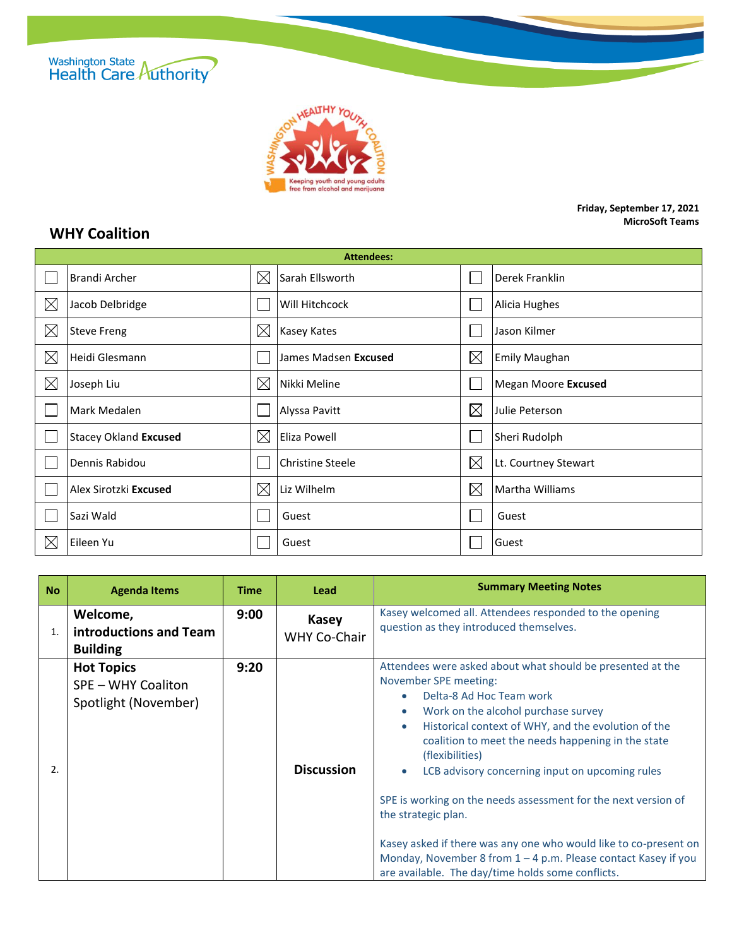



## **Friday, September 17, 2021 MicroSoft Teams**

## **WHY Coalition**

| <b>Attendees:</b> |                              |             |                         |             |                        |  |  |
|-------------------|------------------------------|-------------|-------------------------|-------------|------------------------|--|--|
|                   | Brandi Archer                | $\boxtimes$ | Sarah Ellsworth         |             | Derek Franklin         |  |  |
| $\boxtimes$       | Jacob Delbridge              |             | Will Hitchcock          |             | Alicia Hughes          |  |  |
| $\boxtimes$       | <b>Steve Freng</b>           | $\boxtimes$ | Kasey Kates             |             | Jason Kilmer           |  |  |
| $\boxtimes$       | Heidi Glesmann               |             | James Madsen Excused    | $\boxtimes$ | <b>Emily Maughan</b>   |  |  |
| $\boxtimes$       | Joseph Liu                   | $\boxtimes$ | Nikki Meline            |             | Megan Moore Excused    |  |  |
|                   | Mark Medalen                 |             | Alyssa Pavitt           | $\boxtimes$ | Julie Peterson         |  |  |
|                   | <b>Stacey Okland Excused</b> | $\boxtimes$ | Eliza Powell            |             | Sheri Rudolph          |  |  |
|                   | Dennis Rabidou               |             | <b>Christine Steele</b> | $\boxtimes$ | Lt. Courtney Stewart   |  |  |
|                   | Alex Sirotzki Excused        | $\boxtimes$ | Liz Wilhelm             | $\boxtimes$ | <b>Martha Williams</b> |  |  |
|                   | Sazi Wald                    |             | Guest                   |             | Guest                  |  |  |
| $\boxtimes$       | Eileen Yu                    |             | Guest                   |             | Guest                  |  |  |

| <b>No</b>             | <b>Agenda Items</b>                                             | <b>Time</b> | Lead                                | <b>Summary Meeting Notes</b>                                                                                                                                                                                                                                                                                                                                                                                                                                                                                                                                                                                                                            |
|-----------------------|-----------------------------------------------------------------|-------------|-------------------------------------|---------------------------------------------------------------------------------------------------------------------------------------------------------------------------------------------------------------------------------------------------------------------------------------------------------------------------------------------------------------------------------------------------------------------------------------------------------------------------------------------------------------------------------------------------------------------------------------------------------------------------------------------------------|
| 1.                    | Welcome,<br>introductions and Team<br><b>Building</b>           | 9:00        | <b>Kasey</b><br><b>WHY Co-Chair</b> | Kasey welcomed all. Attendees responded to the opening<br>question as they introduced themselves.                                                                                                                                                                                                                                                                                                                                                                                                                                                                                                                                                       |
| $\mathcal{P}_{\cdot}$ | <b>Hot Topics</b><br>SPE - WHY Coaliton<br>Spotlight (November) | 9:20        | <b>Discussion</b>                   | Attendees were asked about what should be presented at the<br>November SPE meeting:<br>Delta-8 Ad Hoc Team work<br>Work on the alcohol purchase survey<br>Historical context of WHY, and the evolution of the<br>$\bullet$<br>coalition to meet the needs happening in the state<br>(flexibilities)<br>LCB advisory concerning input on upcoming rules<br>$\bullet$<br>SPE is working on the needs assessment for the next version of<br>the strategic plan.<br>Kasey asked if there was any one who would like to co-present on<br>Monday, November 8 from 1 - 4 p.m. Please contact Kasey if you<br>are available. The day/time holds some conflicts. |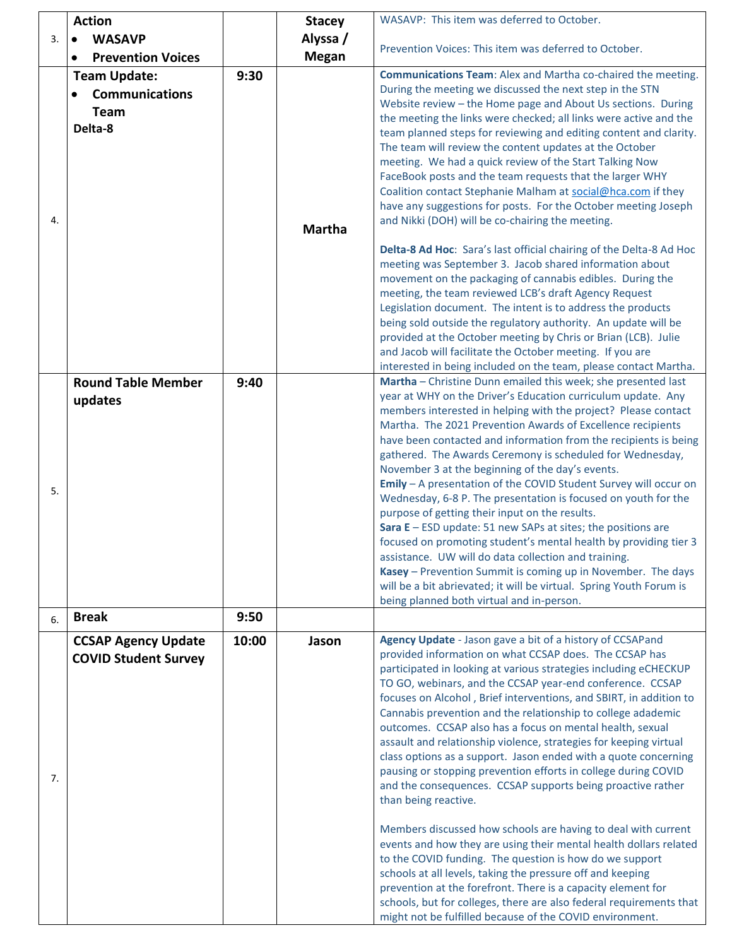| Alyssa /<br><b>WASAVP</b><br>3.<br>$\bullet$<br>Prevention Voices: This item was deferred to October.<br><b>Megan</b><br><b>Prevention Voices</b><br>$\bullet$<br>Communications Team: Alex and Martha co-chaired the meeting.<br>9:30<br><b>Team Update:</b><br>During the meeting we discussed the next step in the STN<br><b>Communications</b><br>Website review - the Home page and About Us sections. During<br><b>Team</b><br>the meeting the links were checked; all links were active and the<br>Delta-8<br>team planned steps for reviewing and editing content and clarity.<br>The team will review the content updates at the October<br>meeting. We had a quick review of the Start Talking Now |
|--------------------------------------------------------------------------------------------------------------------------------------------------------------------------------------------------------------------------------------------------------------------------------------------------------------------------------------------------------------------------------------------------------------------------------------------------------------------------------------------------------------------------------------------------------------------------------------------------------------------------------------------------------------------------------------------------------------|
|                                                                                                                                                                                                                                                                                                                                                                                                                                                                                                                                                                                                                                                                                                              |
|                                                                                                                                                                                                                                                                                                                                                                                                                                                                                                                                                                                                                                                                                                              |
|                                                                                                                                                                                                                                                                                                                                                                                                                                                                                                                                                                                                                                                                                                              |
|                                                                                                                                                                                                                                                                                                                                                                                                                                                                                                                                                                                                                                                                                                              |
|                                                                                                                                                                                                                                                                                                                                                                                                                                                                                                                                                                                                                                                                                                              |
|                                                                                                                                                                                                                                                                                                                                                                                                                                                                                                                                                                                                                                                                                                              |
|                                                                                                                                                                                                                                                                                                                                                                                                                                                                                                                                                                                                                                                                                                              |
|                                                                                                                                                                                                                                                                                                                                                                                                                                                                                                                                                                                                                                                                                                              |
|                                                                                                                                                                                                                                                                                                                                                                                                                                                                                                                                                                                                                                                                                                              |
| FaceBook posts and the team requests that the larger WHY                                                                                                                                                                                                                                                                                                                                                                                                                                                                                                                                                                                                                                                     |
| Coalition contact Stephanie Malham at social@hca.com if they                                                                                                                                                                                                                                                                                                                                                                                                                                                                                                                                                                                                                                                 |
| have any suggestions for posts. For the October meeting Joseph                                                                                                                                                                                                                                                                                                                                                                                                                                                                                                                                                                                                                                               |
| and Nikki (DOH) will be co-chairing the meeting.<br>4.<br><b>Martha</b>                                                                                                                                                                                                                                                                                                                                                                                                                                                                                                                                                                                                                                      |
|                                                                                                                                                                                                                                                                                                                                                                                                                                                                                                                                                                                                                                                                                                              |
| Delta-8 Ad Hoc: Sara's last official chairing of the Delta-8 Ad Hoc                                                                                                                                                                                                                                                                                                                                                                                                                                                                                                                                                                                                                                          |
| meeting was September 3. Jacob shared information about                                                                                                                                                                                                                                                                                                                                                                                                                                                                                                                                                                                                                                                      |
| movement on the packaging of cannabis edibles. During the                                                                                                                                                                                                                                                                                                                                                                                                                                                                                                                                                                                                                                                    |
| meeting, the team reviewed LCB's draft Agency Request                                                                                                                                                                                                                                                                                                                                                                                                                                                                                                                                                                                                                                                        |
| Legislation document. The intent is to address the products                                                                                                                                                                                                                                                                                                                                                                                                                                                                                                                                                                                                                                                  |
| being sold outside the regulatory authority. An update will be                                                                                                                                                                                                                                                                                                                                                                                                                                                                                                                                                                                                                                               |
| provided at the October meeting by Chris or Brian (LCB). Julie                                                                                                                                                                                                                                                                                                                                                                                                                                                                                                                                                                                                                                               |
| and Jacob will facilitate the October meeting. If you are                                                                                                                                                                                                                                                                                                                                                                                                                                                                                                                                                                                                                                                    |
| interested in being included on the team, please contact Martha.<br>Martha - Christine Dunn emailed this week; she presented last<br><b>Round Table Member</b><br>9:40                                                                                                                                                                                                                                                                                                                                                                                                                                                                                                                                       |
| year at WHY on the Driver's Education curriculum update. Any                                                                                                                                                                                                                                                                                                                                                                                                                                                                                                                                                                                                                                                 |
| updates<br>members interested in helping with the project? Please contact                                                                                                                                                                                                                                                                                                                                                                                                                                                                                                                                                                                                                                    |
| Martha. The 2021 Prevention Awards of Excellence recipients                                                                                                                                                                                                                                                                                                                                                                                                                                                                                                                                                                                                                                                  |
| have been contacted and information from the recipients is being                                                                                                                                                                                                                                                                                                                                                                                                                                                                                                                                                                                                                                             |
| gathered. The Awards Ceremony is scheduled for Wednesday,                                                                                                                                                                                                                                                                                                                                                                                                                                                                                                                                                                                                                                                    |
| November 3 at the beginning of the day's events.                                                                                                                                                                                                                                                                                                                                                                                                                                                                                                                                                                                                                                                             |
| Emily - A presentation of the COVID Student Survey will occur on                                                                                                                                                                                                                                                                                                                                                                                                                                                                                                                                                                                                                                             |
| 5.<br>Wednesday, 6-8 P. The presentation is focused on youth for the                                                                                                                                                                                                                                                                                                                                                                                                                                                                                                                                                                                                                                         |
| purpose of getting their input on the results.                                                                                                                                                                                                                                                                                                                                                                                                                                                                                                                                                                                                                                                               |
| Sara $E - ESD$ update: 51 new SAPs at sites; the positions are                                                                                                                                                                                                                                                                                                                                                                                                                                                                                                                                                                                                                                               |
| focused on promoting student's mental health by providing tier 3                                                                                                                                                                                                                                                                                                                                                                                                                                                                                                                                                                                                                                             |
| assistance. UW will do data collection and training.                                                                                                                                                                                                                                                                                                                                                                                                                                                                                                                                                                                                                                                         |
| Kasey - Prevention Summit is coming up in November. The days                                                                                                                                                                                                                                                                                                                                                                                                                                                                                                                                                                                                                                                 |
| will be a bit abrievated; it will be virtual. Spring Youth Forum is                                                                                                                                                                                                                                                                                                                                                                                                                                                                                                                                                                                                                                          |
| being planned both virtual and in-person.                                                                                                                                                                                                                                                                                                                                                                                                                                                                                                                                                                                                                                                                    |
| <b>Break</b><br>9:50<br>6.                                                                                                                                                                                                                                                                                                                                                                                                                                                                                                                                                                                                                                                                                   |
| Agency Update - Jason gave a bit of a history of CCSAPand<br>10:00<br><b>CCSAP Agency Update</b><br>Jason                                                                                                                                                                                                                                                                                                                                                                                                                                                                                                                                                                                                    |
| provided information on what CCSAP does. The CCSAP has<br><b>COVID Student Survey</b>                                                                                                                                                                                                                                                                                                                                                                                                                                                                                                                                                                                                                        |
| participated in looking at various strategies including eCHECKUP                                                                                                                                                                                                                                                                                                                                                                                                                                                                                                                                                                                                                                             |
| TO GO, webinars, and the CCSAP year-end conference. CCSAP                                                                                                                                                                                                                                                                                                                                                                                                                                                                                                                                                                                                                                                    |
| focuses on Alcohol, Brief interventions, and SBIRT, in addition to                                                                                                                                                                                                                                                                                                                                                                                                                                                                                                                                                                                                                                           |
| Cannabis prevention and the relationship to college adademic                                                                                                                                                                                                                                                                                                                                                                                                                                                                                                                                                                                                                                                 |
| outcomes. CCSAP also has a focus on mental health, sexual                                                                                                                                                                                                                                                                                                                                                                                                                                                                                                                                                                                                                                                    |
| assault and relationship violence, strategies for keeping virtual                                                                                                                                                                                                                                                                                                                                                                                                                                                                                                                                                                                                                                            |
| class options as a support. Jason ended with a quote concerning                                                                                                                                                                                                                                                                                                                                                                                                                                                                                                                                                                                                                                              |
| pausing or stopping prevention efforts in college during COVID<br>7.                                                                                                                                                                                                                                                                                                                                                                                                                                                                                                                                                                                                                                         |
| and the consequences. CCSAP supports being proactive rather                                                                                                                                                                                                                                                                                                                                                                                                                                                                                                                                                                                                                                                  |
| than being reactive.                                                                                                                                                                                                                                                                                                                                                                                                                                                                                                                                                                                                                                                                                         |
|                                                                                                                                                                                                                                                                                                                                                                                                                                                                                                                                                                                                                                                                                                              |
| Members discussed how schools are having to deal with current                                                                                                                                                                                                                                                                                                                                                                                                                                                                                                                                                                                                                                                |
| events and how they are using their mental health dollars related                                                                                                                                                                                                                                                                                                                                                                                                                                                                                                                                                                                                                                            |
| to the COVID funding. The question is how do we support                                                                                                                                                                                                                                                                                                                                                                                                                                                                                                                                                                                                                                                      |
|                                                                                                                                                                                                                                                                                                                                                                                                                                                                                                                                                                                                                                                                                                              |
| schools at all levels, taking the pressure off and keeping                                                                                                                                                                                                                                                                                                                                                                                                                                                                                                                                                                                                                                                   |
| prevention at the forefront. There is a capacity element for<br>schools, but for colleges, there are also federal requirements that                                                                                                                                                                                                                                                                                                                                                                                                                                                                                                                                                                          |